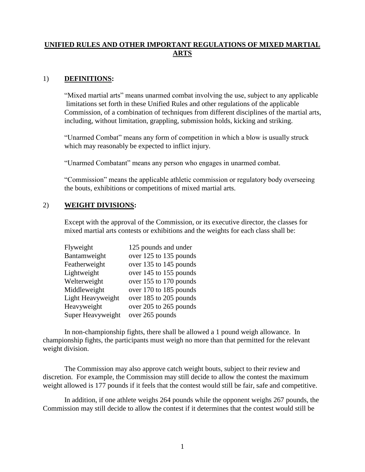# **UNIFIED RULES AND OTHER IMPORTANT REGULATIONS OF MIXED MARTIAL ARTS**

### 1) **DEFINITIONS:**

"Mixed martial arts" means unarmed combat involving the use, subject to any applicable limitations set forth in these Unified Rules and other regulations of the applicable Commission, of a combination of techniques from different disciplines of the martial arts, including, without limitation, grappling, submission holds, kicking and striking.

"Unarmed Combat" means any form of competition in which a blow is usually struck which may reasonably be expected to inflict injury.

"Unarmed Combatant" means any person who engages in unarmed combat.

"Commission" means the applicable athletic commission or regulatory body overseeing the bouts, exhibitions or competitions of mixed martial arts.

#### 2) **WEIGHT DIVISIONS:**

Except with the approval of the Commission, or its executive director, the classes for mixed martial arts contests or exhibitions and the weights for each class shall be:

| Flyweight         | 125 pounds and under   |
|-------------------|------------------------|
| Bantamweight      | over 125 to 135 pounds |
| Featherweight     | over 135 to 145 pounds |
| Lightweight       | over 145 to 155 pounds |
| Welterweight      | over 155 to 170 pounds |
| Middleweight      | over 170 to 185 pounds |
| Light Heavyweight | over 185 to 205 pounds |
| Heavyweight       | over 205 to 265 pounds |
| Super Heavyweight | over 265 pounds        |

In non-championship fights, there shall be allowed a 1 pound weigh allowance. In championship fights, the participants must weigh no more than that permitted for the relevant weight division.

The Commission may also approve catch weight bouts, subject to their review and discretion. For example, the Commission may still decide to allow the contest the maximum weight allowed is 177 pounds if it feels that the contest would still be fair, safe and competitive.

In addition, if one athlete weighs 264 pounds while the opponent weighs 267 pounds, the Commission may still decide to allow the contest if it determines that the contest would still be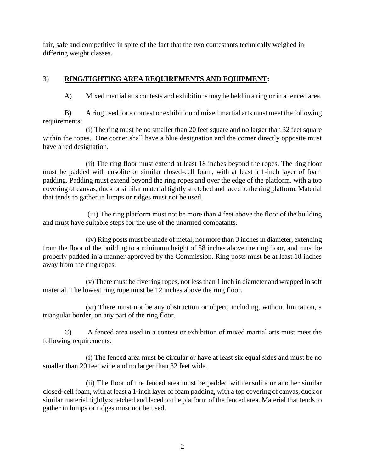fair, safe and competitive in spite of the fact that the two contestants technically weighed in differing weight classes.

## 3) **RING/FIGHTING AREA REQUIREMENTS AND EQUIPMENT:**

A) Mixed martial arts contests and exhibitions may be held in a ring or in a fenced area.

B) A ring used for a contest or exhibition of mixed martial arts must meet the following requirements:

 (i) The ring must be no smaller than 20 feet square and no larger than 32 feet square within the ropes. One corner shall have a blue designation and the corner directly opposite must have a red designation.

 (ii) The ring floor must extend at least 18 inches beyond the ropes. The ring floor must be padded with ensolite or similar closed-cell foam, with at least a 1-inch layer of foam padding. Padding must extend beyond the ring ropes and over the edge of the platform, with a top covering of canvas, duck or similar material tightly stretched and laced to the ring platform. Material that tends to gather in lumps or ridges must not be used.

 (iii) The ring platform must not be more than 4 feet above the floor of the building and must have suitable steps for the use of the unarmed combatants.

 (iv) Ring posts must be made of metal, not more than 3 inches in diameter, extending from the floor of the building to a minimum height of 58 inches above the ring floor, and must be properly padded in a manner approved by the Commission. Ring posts must be at least 18 inches away from the ring ropes.

 (v) There must be five ring ropes, not less than 1 inch in diameter and wrapped in soft material. The lowest ring rope must be 12 inches above the ring floor.

 (vi) There must not be any obstruction or object, including, without limitation, a triangular border, on any part of the ring floor.

 C) A fenced area used in a contest or exhibition of mixed martial arts must meet the following requirements:

 (i) The fenced area must be circular or have at least six equal sides and must be no smaller than 20 feet wide and no larger than 32 feet wide.

 (ii) The floor of the fenced area must be padded with ensolite or another similar closed-cell foam, with at least a 1-inch layer of foam padding, with a top covering of canvas, duck or similar material tightly stretched and laced to the platform of the fenced area. Material that tends to gather in lumps or ridges must not be used.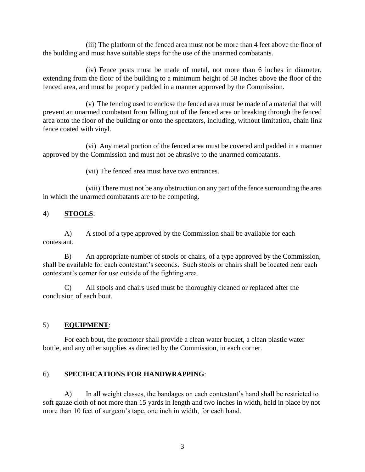(iii) The platform of the fenced area must not be more than 4 feet above the floor of the building and must have suitable steps for the use of the unarmed combatants.

 (iv) Fence posts must be made of metal, not more than 6 inches in diameter, extending from the floor of the building to a minimum height of 58 inches above the floor of the fenced area, and must be properly padded in a manner approved by the Commission.

 (v) The fencing used to enclose the fenced area must be made of a material that will prevent an unarmed combatant from falling out of the fenced area or breaking through the fenced area onto the floor of the building or onto the spectators, including, without limitation, chain link fence coated with vinyl.

 (vi) Any metal portion of the fenced area must be covered and padded in a manner approved by the Commission and must not be abrasive to the unarmed combatants.

(vii) The fenced area must have two entrances.

 (viii) There must not be any obstruction on any part of the fence surrounding the area in which the unarmed combatants are to be competing.

## 4) **STOOLS**:

A) A stool of a type approved by the Commission shall be available for each contestant.

B) An appropriate number of stools or chairs, of a type approved by the Commission, shall be available for each contestant's seconds. Such stools or chairs shall be located near each contestant's corner for use outside of the fighting area.

C) All stools and chairs used must be thoroughly cleaned or replaced after the conclusion of each bout.

## 5) **EQUIPMENT**:

For each bout, the promoter shall provide a clean water bucket, a clean plastic water bottle, and any other supplies as directed by the Commission, in each corner.

## 6) **SPECIFICATIONS FOR HANDWRAPPING**:

A) In all weight classes, the bandages on each contestant's hand shall be restricted to soft gauze cloth of not more than 15 yards in length and two inches in width, held in place by not more than 10 feet of surgeon's tape, one inch in width, for each hand.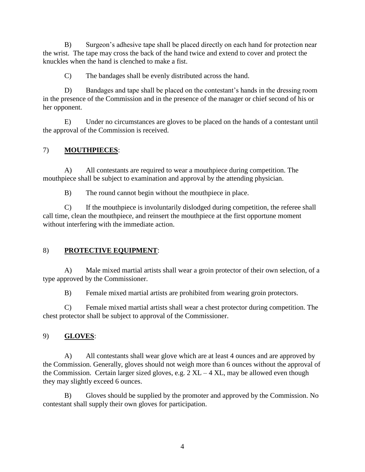B) Surgeon's adhesive tape shall be placed directly on each hand for protection near the wrist. The tape may cross the back of the hand twice and extend to cover and protect the knuckles when the hand is clenched to make a fist.

C) The bandages shall be evenly distributed across the hand.

D) Bandages and tape shall be placed on the contestant's hands in the dressing room in the presence of the Commission and in the presence of the manager or chief second of his or her opponent.

E) Under no circumstances are gloves to be placed on the hands of a contestant until the approval of the Commission is received.

# 7) **MOUTHPIECES**:

A) All contestants are required to wear a mouthpiece during competition. The mouthpiece shall be subject to examination and approval by the attending physician.

B) The round cannot begin without the mouthpiece in place.

C) If the mouthpiece is involuntarily dislodged during competition, the referee shall call time, clean the mouthpiece, and reinsert the mouthpiece at the first opportune moment without interfering with the immediate action.

# 8) **PROTECTIVE EQUIPMENT**:

A) Male mixed martial artists shall wear a groin protector of their own selection, of a type approved by the Commissioner.

B) Female mixed martial artists are prohibited from wearing groin protectors.

C) Female mixed martial artists shall wear a chest protector during competition. The chest protector shall be subject to approval of the Commissioner.

# 9) **GLOVES**:

A) All contestants shall wear glove which are at least 4 ounces and are approved by the Commission. Generally, gloves should not weigh more than 6 ounces without the approval of the Commission. Certain larger sized gloves, e.g.  $2 \text{ XL} - 4 \text{ XL}$ , may be allowed even though they may slightly exceed 6 ounces.

B) Gloves should be supplied by the promoter and approved by the Commission. No contestant shall supply their own gloves for participation.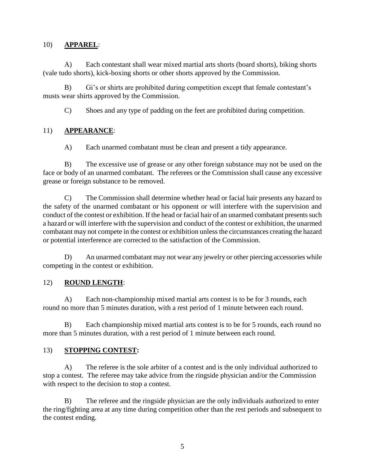### 10) **APPAREL**:

A) Each contestant shall wear mixed martial arts shorts (board shorts), biking shorts (vale tudo shorts), kick-boxing shorts or other shorts approved by the Commission.

B) Gi's or shirts are prohibited during competition except that female contestant's musts wear shirts approved by the Commission.

C) Shoes and any type of padding on the feet are prohibited during competition.

## 11) **APPEARANCE**:

A) Each unarmed combatant must be clean and present a tidy appearance.

B) The excessive use of grease or any other foreign substance may not be used on the face or body of an unarmed combatant. The referees or the Commission shall cause any excessive grease or foreign substance to be removed.

C) The Commission shall determine whether head or facial hair presents any hazard to the safety of the unarmed combatant or his opponent or will interfere with the supervision and conduct of the contest or exhibition. If the head or facial hair of an unarmed combatant presents such a hazard or will interfere with the supervision and conduct of the contest or exhibition, the unarmed combatant may not compete in the contest or exhibition unless the circumstances creating the hazard or potential interference are corrected to the satisfaction of the Commission.

 D) An unarmed combatant may not wear any jewelry or other piercing accessories while competing in the contest or exhibition.

## 12) **ROUND LENGTH**:

A) Each non-championship mixed martial arts contest is to be for 3 rounds, each round no more than 5 minutes duration, with a rest period of 1 minute between each round.

B) Each championship mixed martial arts contest is to be for 5 rounds, each round no more than 5 minutes duration, with a rest period of 1 minute between each round.

## 13) **STOPPING CONTEST:**

A) The referee is the sole arbiter of a contest and is the only individual authorized to stop a contest. The referee may take advice from the ringside physician and/or the Commission with respect to the decision to stop a contest.

B) The referee and the ringside physician are the only individuals authorized to enter the ring/fighting area at any time during competition other than the rest periods and subsequent to the contest ending.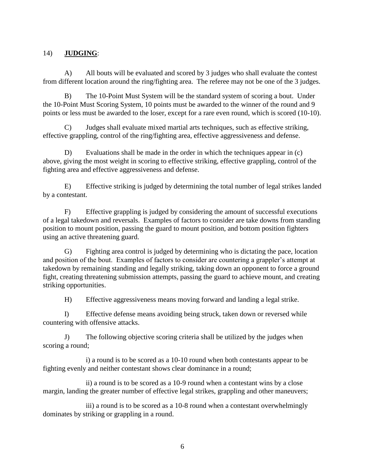## 14) **JUDGING**:

A) All bouts will be evaluated and scored by 3 judges who shall evaluate the contest from different location around the ring/fighting area. The referee may not be one of the 3 judges.

B) The 10-Point Must System will be the standard system of scoring a bout. Under the 10-Point Must Scoring System, 10 points must be awarded to the winner of the round and 9 points or less must be awarded to the loser, except for a rare even round, which is scored (10-10).

C) Judges shall evaluate mixed martial arts techniques, such as effective striking, effective grappling, control of the ring/fighting area, effective aggressiveness and defense.

D) Evaluations shall be made in the order in which the techniques appear in (c) above, giving the most weight in scoring to effective striking, effective grappling, control of the fighting area and effective aggressiveness and defense.

E) Effective striking is judged by determining the total number of legal strikes landed by a contestant.

F) Effective grappling is judged by considering the amount of successful executions of a legal takedown and reversals. Examples of factors to consider are take downs from standing position to mount position, passing the guard to mount position, and bottom position fighters using an active threatening guard.

G) Fighting area control is judged by determining who is dictating the pace, location and position of the bout. Examples of factors to consider are countering a grappler's attempt at takedown by remaining standing and legally striking, taking down an opponent to force a ground fight, creating threatening submission attempts, passing the guard to achieve mount, and creating striking opportunities.

H) Effective aggressiveness means moving forward and landing a legal strike.

I) Effective defense means avoiding being struck, taken down or reversed while countering with offensive attacks.

J) The following objective scoring criteria shall be utilized by the judges when scoring a round;

i) a round is to be scored as a 10-10 round when both contestants appear to be fighting evenly and neither contestant shows clear dominance in a round;

ii) a round is to be scored as a 10-9 round when a contestant wins by a close margin, landing the greater number of effective legal strikes, grappling and other maneuvers;

iii) a round is to be scored as a 10-8 round when a contestant overwhelmingly dominates by striking or grappling in a round.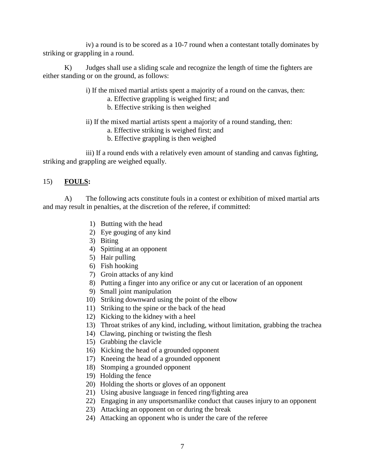iv) a round is to be scored as a 10-7 round when a contestant totally dominates by striking or grappling in a round.

K) Judges shall use a sliding scale and recognize the length of time the fighters are either standing or on the ground, as follows:

- i) If the mixed martial artists spent a majority of a round on the canvas, then:
	- a. Effective grappling is weighed first; and
	- b. Effective striking is then weighed
- ii) If the mixed martial artists spent a majority of a round standing, then:
	- a. Effective striking is weighed first; and
	- b. Effective grappling is then weighed

iii) If a round ends with a relatively even amount of standing and canvas fighting, striking and grappling are weighed equally.

## 15) **FOULS:**

A) The following acts constitute fouls in a contest or exhibition of mixed martial arts and may result in penalties, at the discretion of the referee, if committed:

- 1) Butting with the head
- 2) Eye gouging of any kind
- 3) Biting
- 4) Spitting at an opponent
- 5) Hair pulling
- 6) Fish hooking
- 7) Groin attacks of any kind
- 8) Putting a finger into any orifice or any cut or laceration of an opponent
- 9) Small joint manipulation
- 10) Striking downward using the point of the elbow
- 11) Striking to the spine or the back of the head
- 12) Kicking to the kidney with a heel
- 13) Throat strikes of any kind, including, without limitation, grabbing the trachea
- 14) Clawing, pinching or twisting the flesh
- 15) Grabbing the clavicle
- 16) Kicking the head of a grounded opponent
- 17) Kneeing the head of a grounded opponent
- 18) Stomping a grounded opponent
- 19) Holding the fence
- 20) Holding the shorts or gloves of an opponent
- 21) Using abusive language in fenced ring/fighting area
- 22) Engaging in any unsportsmanlike conduct that causes injury to an opponent
- 23) Attacking an opponent on or during the break
- 24) Attacking an opponent who is under the care of the referee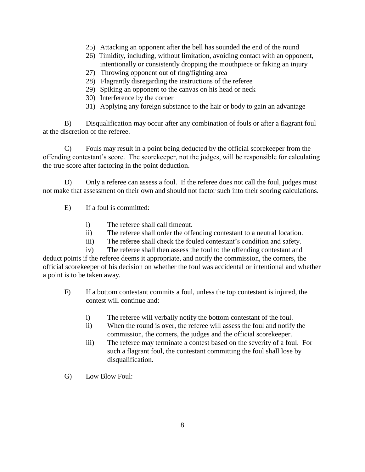- 25) Attacking an opponent after the bell has sounded the end of the round
- 26) Timidity, including, without limitation, avoiding contact with an opponent, intentionally or consistently dropping the mouthpiece or faking an injury
- 27) Throwing opponent out of ring/fighting area
- 28) Flagrantly disregarding the instructions of the referee
- 29) Spiking an opponent to the canvas on his head or neck
- 30) Interference by the corner
- 31) Applying any foreign substance to the hair or body to gain an advantage

B) Disqualification may occur after any combination of fouls or after a flagrant foul at the discretion of the referee.

C) Fouls may result in a point being deducted by the official scorekeeper from the offending contestant's score. The scorekeeper, not the judges, will be responsible for calculating the true score after factoring in the point deduction.

D) Only a referee can assess a foul. If the referee does not call the foul, judges must not make that assessment on their own and should not factor such into their scoring calculations.

- E) If a foul is committed:
	- i) The referee shall call timeout.
	- ii) The referee shall order the offending contestant to a neutral location.
	- iii) The referee shall check the fouled contestant's condition and safety.

iv) The referee shall then assess the foul to the offending contestant and deduct points if the referee deems it appropriate, and notify the commission, the corners, the official scorekeeper of his decision on whether the foul was accidental or intentional and whether a point is to be taken away.

- F) If a bottom contestant commits a foul, unless the top contestant is injured, the contest will continue and:
	- i) The referee will verbally notify the bottom contestant of the foul.
	- ii) When the round is over, the referee will assess the foul and notify the commission, the corners, the judges and the official scorekeeper.
	- iii) The referee may terminate a contest based on the severity of a foul. For such a flagrant foul, the contestant committing the foul shall lose by disqualification.
- G) Low Blow Foul: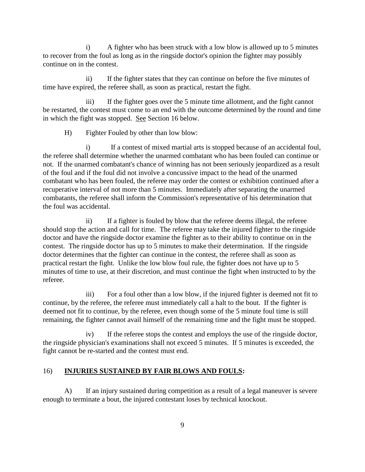i) A fighter who has been struck with a low blow is allowed up to 5 minutes to recover from the foul as long as in the ringside doctor's opinion the fighter may possibly continue on in the contest.

ii) If the fighter states that they can continue on before the five minutes of time have expired, the referee shall, as soon as practical, restart the fight.

iii) If the fighter goes over the 5 minute time allotment, and the fight cannot be restarted, the contest must come to an end with the outcome determined by the round and time in which the fight was stopped. See Section 16 below.

H) Fighter Fouled by other than low blow:

i) If a contest of mixed martial arts is stopped because of an accidental foul, the referee shall determine whether the unarmed combatant who has been fouled can continue or not. If the unarmed combatant's chance of winning has not been seriously jeopardized as a result of the foul and if the foul did not involve a concussive impact to the head of the unarmed combatant who has been fouled, the referee may order the contest or exhibition continued after a recuperative interval of not more than 5 minutes. Immediately after separating the unarmed combatants, the referee shall inform the Commission's representative of his determination that the foul was accidental.

ii) If a fighter is fouled by blow that the referee deems illegal, the referee should stop the action and call for time. The referee may take the injured fighter to the ringside doctor and have the ringside doctor examine the fighter as to their ability to continue on in the contest. The ringside doctor has up to 5 minutes to make their determination. If the ringside doctor determines that the fighter can continue in the contest, the referee shall as soon as practical restart the fight. Unlike the low blow foul rule, the fighter does not have up to 5 minutes of time to use, at their discretion, and must continue the fight when instructed to by the referee.

iii) For a foul other than a low blow, if the injured fighter is deemed not fit to continue, by the referee, the referee must immediately call a halt to the bout. If the fighter is deemed not fit to continue, by the referee, even though some of the 5 minute foul time is still remaining, the fighter cannot avail himself of the remaining time and the fight must be stopped.

iv) If the referee stops the contest and employs the use of the ringside doctor, the ringside physician's examinations shall not exceed 5 minutes. If 5 minutes is exceeded, the fight cannot be re-started and the contest must end.

## 16) **INJURIES SUSTAINED BY FAIR BLOWS AND FOULS:**

A) If an injury sustained during competition as a result of a legal maneuver is severe enough to terminate a bout, the injured contestant loses by technical knockout.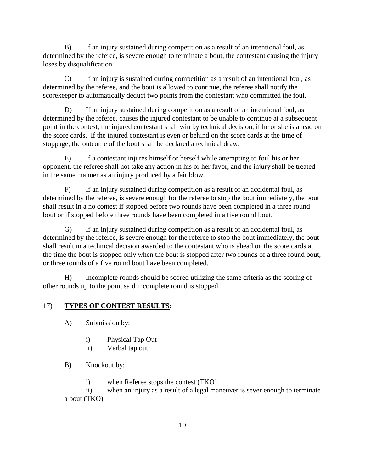B) If an injury sustained during competition as a result of an intentional foul, as determined by the referee, is severe enough to terminate a bout, the contestant causing the injury loses by disqualification.

C) If an injury is sustained during competition as a result of an intentional foul, as determined by the referee, and the bout is allowed to continue, the referee shall notify the scorekeeper to automatically deduct two points from the contestant who committed the foul.

D) If an injury sustained during competition as a result of an intentional foul, as determined by the referee, causes the injured contestant to be unable to continue at a subsequent point in the contest, the injured contestant shall win by technical decision, if he or she is ahead on the score cards. If the injured contestant is even or behind on the score cards at the time of stoppage, the outcome of the bout shall be declared a technical draw.

E) If a contestant injures himself or herself while attempting to foul his or her opponent, the referee shall not take any action in his or her favor, and the injury shall be treated in the same manner as an injury produced by a fair blow.

F) If an injury sustained during competition as a result of an accidental foul, as determined by the referee, is severe enough for the referee to stop the bout immediately, the bout shall result in a no contest if stopped before two rounds have been completed in a three round bout or if stopped before three rounds have been completed in a five round bout.

G) If an injury sustained during competition as a result of an accidental foul, as determined by the referee, is severe enough for the referee to stop the bout immediately, the bout shall result in a technical decision awarded to the contestant who is ahead on the score cards at the time the bout is stopped only when the bout is stopped after two rounds of a three round bout, or three rounds of a five round bout have been completed.

H) Incomplete rounds should be scored utilizing the same criteria as the scoring of other rounds up to the point said incomplete round is stopped.

## 17) **TYPES OF CONTEST RESULTS:**

- A) Submission by:
	- i) Physical Tap Out
	- ii) Verbal tap out
- B) Knockout by:
	- i) when Referee stops the contest (TKO)

ii) when an injury as a result of a legal maneuver is sever enough to terminate a bout (TKO)